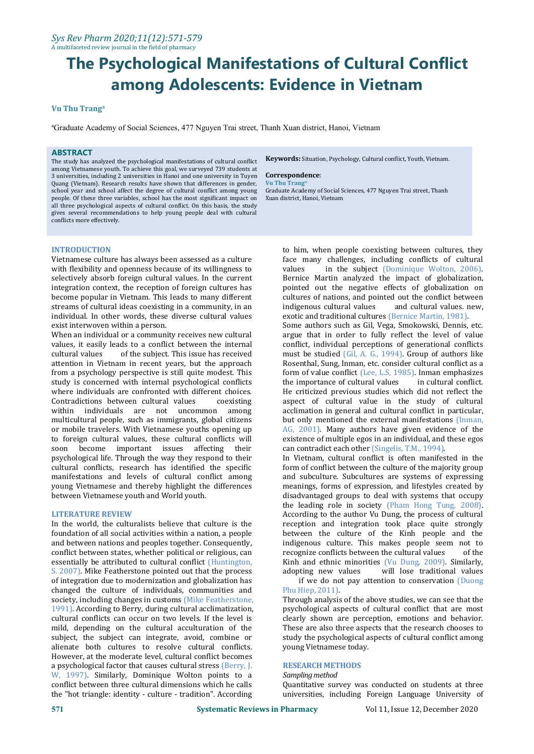#### **Vu Thu Trang a**

<sup>a</sup>Graduate Academy of Social Sciences, 477 Nguyen Trai street, Thanh Xuan district, Hanoi, Vietnam

# **ABSTRACT**

The study has analyzed the psychological manifestations of cultural conflict among Vietnamese youth. To achieve this goal, we surveyed 739 students at 3 universities, including 2 universities in Hanoi and one university in Tuyen **Correspond** Ouang (Vietnam). Research results have shown that differences in gender. Vu Thu Trang Quang (Vietnam). Research results have shown that differences in gender, school year and school affect the degree of cultural conflict among young people. Of these three variables, school has the most significant impact on all three psychological aspects of cultural conflict. On this basis, the study gives several recommendations to help young people deal with cultural conflicts more effectively.

**Keywords:** Situation, Psychology, Cultural conflict, Youth, Vietnam.

#### $Correspondence:$

**a** Graduate Academy of Social Sciences, 477 Nguyen Trai street, Thanh Xuan district, Hanoi, Vietnam

# **INTRODUCTION**

Vietnamese culture has always been assessed as a culture face n<br>with flexibility and openness because of its willingness to values with flexibility and openness because of its willingness to selectively absorb foreign cultural values. In the current integration context, the reception of foreign cultures has become popular in Vietnam. This leads to many different streams of cultural ideas coexisting in a community, in an individual. In other words, these diverse cultural values exist interwoven within a person.

When an individual or a community receives new cultural values, it easily leads to a conflict between the internal cultural values of the subject. This issue has received of the subject. This issue has received attention in Vietnam in recent years, but the approach from a psychology perspective is still quite modest. This study is concerned with internal psychological conflicts where individuals are confronted with different choices.<br>Contradictions between cultural values coexisting Contradictions between cultural values<br>within individuals are not uncor individuals are not uncommon among multicultural people, such as immigrants, global citizens or mobile travelers. With Vietnamese youths opening up to foreign cultural values, these cultural conflicts will<br>soon become important issues affecting their become important issues affecting their psychological life. Through the way they respond to their cultural conflicts, research has identified the specific manifestations and levels of cultural conflict among young Vietnamese and thereby highlight the differences between Vietnamese youth and World youth.

#### **LITERATURE REVIEW**

In the world, the culturalists believe that culture is the foundation of all social activities within a nation, a people and between nations and peoples together. Consequently, conflict between states, whether political or religious, can essentially be attributed to cultural conflict (Huntington, Kinh and ethnic minor S. 2007). Mike Featherstone pointed out that the process adopting new values S. 2007). Mike Featherstone pointed out that the process of integration due to modernization and globalization has changed the culture of individuals, communities and society, including changes in customs (Mike Featherstone, 1991). According to Berry, during cultural acclimatization, cultural conflicts can occur on two levels. If the level is mild, depending on the cultural acculturation of the subject, the subject can integrate, avoid, combine or alienate both cultures to resolve cultural conflicts. However, at the moderate level, cultural conflict becomes a psychological factor that causes cultural stress (Berry, J. W, 1997). Similarly, Dominique Wolton points to a conflict between three cultural dimensions which he calls the "hot triangle: identity - culture - tradition". According

to him, when people coexisting between cultures, they face many challenges, including conflicts of cultural in the subject (Dominique Wolton, 2006). Bernice Martin analyzed the impact of globalization, pointed out the negative effects of globalization on cultures of nations, and pointed out the conflict between<br>indigenous cultural values and cultural values. new, indigenous cultural values exotic and traditional cultures (Bernice Martin, 1981).

Some authors such as Gil, Vega, Smokowski, Dennis, etc. argue that in order to fully reflect the level of value conflict, individual perceptions of generational conflicts must be studied (Gil, A. G., 1994). Group of authors like Rosenthal, Sung, Inman, etc. consider cultural conflict as a form of value conflict (Lee, L.S, 1985). Inman emphasizes<br>the importance of cultural values in cultural conflict. the importance of cultural values He criticized previous studies which did not reflect the aspect of cultural value in the study of cultural acclimation in general and cultural conflict in particular, but only mentioned the external manifestations (Inman, AG, 2001). Many authors have given evidence of the existence of multiple egos in an individual, and these egos can contradict each other (Singelis, T.M., 1994).

In Vietnam, cultural conflict is often manifested in the form of conflict between the culture of the majority group and subculture. Subcultures are systems of expressing meanings, forms of expression, and lifestyles created by disadvantaged groups to deal with systems that occupy the leading role in society (Pham Hong Tung, 2008). According to the author Vu Dung, the process of cultural reception and integration took place quite strongly between the culture of the Kinh people and the indigenous culture. This makes people seem not to recognize conflicts between the cultural values of the recognize conflicts between the cultural values Kinh and ethnic minorities (Vu Dung, 2009). Similarly, will lose traditional values if we do not pay attention to conservation (Duong

# Phu Hiep, 2011).

Through analysis of the above studies, we can see that the psychological aspects of cultural conflict that are most clearly shown are perception, emotions and behavior. These are also three aspects that the research chooses to study the psychological aspects of cultural conflict among young Vietnamese today.

#### **RESEARCH METHODS**

*Samplingmethod*

Quantitative survey was conducted on students at three universities, including Foreign Language University of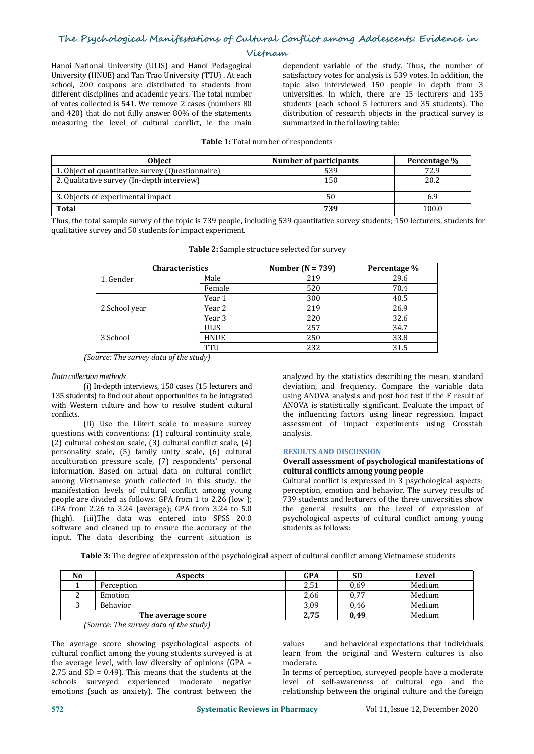Hanoi National University (ULIS) and Hanoi Pedagogical University (HNUE) and Tan Trao University (TTU) . At each school, 200 coupons are distributed to students from different disciplines and academic years. The total number of votes collected is 541. We remove 2 cases (numbers 80 and 420) that do not fully answer 80% of the statements measuring the level of cultural conflict, ie the main

dependent variable of the study. Thus, the number of satisfactory votes for analysis is 539 votes. In addition, the topic also interviewed 150 people in depth from 3 universities. In which, there are 15 lecturers and 135 students (each school 5 lecturers and 35 students). The distribution of research objects in the practical survey is summarized in the following table:

# **Table 1:** Total number of respondents

| Obiect                                           | Number of participants | Percentage % |
|--------------------------------------------------|------------------------|--------------|
| 1. Object of quantitative survey (Questionnaire) | 539                    | 72.9         |
| 2. Qualitative survey (In-depth interview)       | 150                    | 20.2         |
| 3. Objects of experimental impact                |                        | 6.7          |
| <b>Total</b>                                     | 739                    | 100.0        |

Thus, the total sample survey of the topic is 739 people, including 539 quantitative survey students; 150 lecturers, students for qualitative survey and 50 students for impact experiment.

| <b>Characteristics</b> |             | Number ( $N = 739$ ) | Percentage % |
|------------------------|-------------|----------------------|--------------|
| 1. Gender              | Male        | 219                  | 29.6         |
|                        | Female      | 520                  | 70.4         |
|                        | Year 1      | 300                  | 40.5         |
| 2.School year          | Year 2      | 219                  | 26.9         |
|                        | Year 3      | 220                  | 32.6         |
|                        | <b>ULIS</b> | 257                  | 34.7         |
| 3.School               | <b>HNUE</b> | 250                  | 33.8         |
|                        | TTU         | 232                  | 31.5         |

**Table 2:** Sample structure selected for survey

# *Datacollectionmethods*

(i) In-depth interviews, 150 cases(15 lecturers and 135 students) to find out about opportunities to be integrated with Western culture and how to resolve student cultural conflicts.

(ii) Use the Likert scale to measure survey questions with conventions: (1) cultural continuity scale, (2) cultural cohesion scale, (3) cultural conflict scale, (4) personality scale, (5) family unity scale, (6) cultural acculturation pressure scale, (7) respondents' personal information. Based on actual data on cultural conflict among Vietnamese youth collected in this study, the manifestation levels of cultural conflict among young people are divided as follows: GPA from 1 to 2.26 (low ); GPA from 2.26 to 3.24 (average); GPA from 3.24 to 5.0 (high). (iii)The data was entered into SPSS 20.0 software and cleaned up to ensure the accuracy of the input. The data describing the current situation is

analyzed by the statistics describing the mean, standard deviation, and frequency. Compare the variable data using ANOVA analysis and post hoc test if the F result of ANOVA is statistically significant. Evaluate the impact of the influencing factors using linear regression. Impact assessment of impact experiments using Crosstab analysis.

#### **RESULTS AND DISCUSSION**

# **Overall assessment of psychological manifestations of cultural conflicts among young people**

Cultural conflict is expressed in 3 psychological aspects: perception, emotion and behavior. The survey results of 739 students and lecturers of the three universities show the general results on the level of expression of psychological aspects of cultural conflict among young students as follows:

**Table 3:** The degree of expression of the psychological aspect of cultural conflict among Vietnamese students

| No | Aspects           | <b>GPA</b> | <b>SD</b> | Level  |
|----|-------------------|------------|-----------|--------|
|    | Perception        | 2,51       | 0,69      | Medium |
|    | Emotion           | 2,66       | 0,77      | Medium |
|    | Behavior          | 3,09       | 0,46      | Medium |
|    | The average score | 2,75       | 0,49      | Medium |

*<sup>(</sup>Source: The survey data of the study)* 

The average score showing psychological aspects of cultural conflict among the young students surveyed is at the average level, with low diversity of opinions (GPA = 2.75 and  $SD = 0.49$ ). This means that the students at the schools surveyed experienced moderate negative emotions (such as anxiety). The contrast between the

and behavioral expectations that individuals learn from the original and Western cultures is also moderate.

In terms of perception, surveyed people have a moderate level of self-awareness of cultural ego and the relationship between the original culture and the foreign

*<sup>(</sup>Source: The survey data of the study)*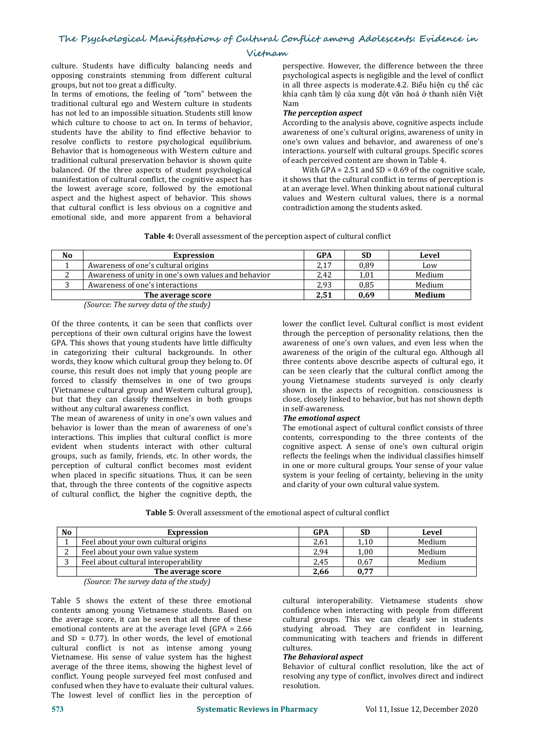culture. Students have difficulty balancing needs and opposing constraints stemming from different cultural groups, but not too great a difficulty.

In terms of emotions, the feeling of "torn" between the traditional cultural ego and Western culture in students has not led to an impossible situation. Students still know which culture to choose to act on. In terms of behavior, students have the ability to find effective behavior to resolve conflicts to restore psychological equilibrium. Behavior that is homogeneous with Western culture and traditional cultural preservation behavior is shown quite balanced. Of the three aspects of student psychological manifestation of cultural conflict, the cognitive aspect has the lowest average score, followed by the emotional aspect and the highest aspect of behavior. This shows that cultural conflict is less obvious on a cognitive and emotional side, and more apparent from a behavioral

perspective. However, the difference between the three psychological aspects is negligible and the level of conflict in all three aspects is moderate.4.2. Biểu hiện cụ thể các khía cạnh tâm lý của xung đột văn hoá ở thanh niên Việt Nam

#### *The perception aspect*

According to the analysis above, cognitive aspects include awareness of one's cultural origins, awareness of unity in one's own values and behavior, and awareness of one's interactions. yourself with cultural groups. Specific scores of each perceived content are shown in Table 4.

With GPA =  $2.51$  and SD =  $0.69$  of the cognitive scale, it shows that the cultural conflict in terms of perception is at an average level. When thinking about national cultural values and Western cultural values, there is a normal contradiction among the students asked.

**Table 4:** Overall assessment of the perception aspect of cultural conflict

| No | Expression                                          | GPA  | <b>SD</b> | Level  |
|----|-----------------------------------------------------|------|-----------|--------|
|    | Awareness of one's cultural origins                 | 2,17 | 0,89      | LOW    |
| o  | Awareness of unity in one's own values and behavior | 2,42 | 1,01      | Medium |
|    | Awareness of one's interactions                     | 2,93 | 0,85      | Medium |
|    | The average score                                   | 2,51 | 0,69      | Medium |
|    | $\sqrt{2}$<br>$\sim$<br>, , ,, ,,                   |      |           |        |

*(Source: The survey data ofthe study)*

Of the three contents, it can be seen that conflicts over perceptions of their own cultural origins have the lowest GPA. This shows that young students have little difficulty in categorizing their cultural backgrounds. In other words, they know which cultural group they belong to. Of course, this result does not imply that young people are forced to classify themselves in one of two groups (Vietnamese cultural group and Western cultural group), but that they can classify themselves in both groups close, closely linke<br>without any cultural awareness conflict.  $\frac{1}{2}$  in self-awareness. without any cultural awareness conflict.

The mean of awareness of unity in one's own values and behavior is lower than the mean of awareness of one's interactions. This implies that cultural conflict is more evident when students interact with other cultural groups, such as family, friends, etc. In other words, the perception of cultural conflict becomes most evident when placed in specific situations. Thus, it can be seen that, through the three contents of the cognitive aspects of cultural conflict, the higher the cognitive depth, the

lower the conflict level. Cultural conflict is most evident through the perception of personality relations, then the awareness of one's own values, and even less when the awareness of the origin of the cultural ego. Although all three contents above describe aspects of cultural ego, it can be seen clearly that the cultural conflict among the young Vietnamese students surveyed is only clearly shown in the aspects of recognition. consciousness is close, closely linked to behavior, but has not shown depth

#### **The emotional aspect**

The emotional aspect of cultural conflict consists of three contents, corresponding to the three contents of the cognitive aspect. A sense of one's own cultural origin reflects the feelings when the individual classifies himself in one or more cultural groups. Your sense of your value system is your feeling of certainty, believing in the unity and clarity of your own cultural value system.

**Table 5**: Overall assessment of the emotional aspect of cultural conflict

| <b>No</b> | Expression                           | GPA  | <b>SD</b> | Level  |
|-----------|--------------------------------------|------|-----------|--------|
|           | Feel about your own cultural origins | 2,61 | 1,10      | Medium |
|           | Feel about your own value system     | 2,94 | $1{,}00$  | Medium |
|           | Feel about cultural interoperability | 2,45 | 0,67      | Medium |
|           | The average score                    | 2,66 | 0,77      |        |

*(Source: The survey data ofthe study)*

Table 5 shows the extent of these three emotional contents among young Vietnamese students. Based on the average score, it can be seen that all three of these emotional contents are at the average level (GPA = 2.66 and  $SD = 0.77$ ). In other words, the level of emotional commun cultures.<br>cultured conflict is not as intense among young cultures. cultural conflict is not as intense among young Vietnamese. His sense of value system has the highest average of the three items, showing the highest level of conflict. Young people surveyed feel most confused and confused when they have to evaluate their cultural values. The lowest level of conflict lies in the perception of

cultural interoperability. Vietnamese students show confidence when interacting with people from different cultural groups. This we can clearly see in students studying abroad. They are confident in learning, communicating with teachers and friends in different

# **The Behavioral aspect**

Behavior of cultural conflict resolution, like the act of resolving any type of conflict, involves direct and indirect resolution.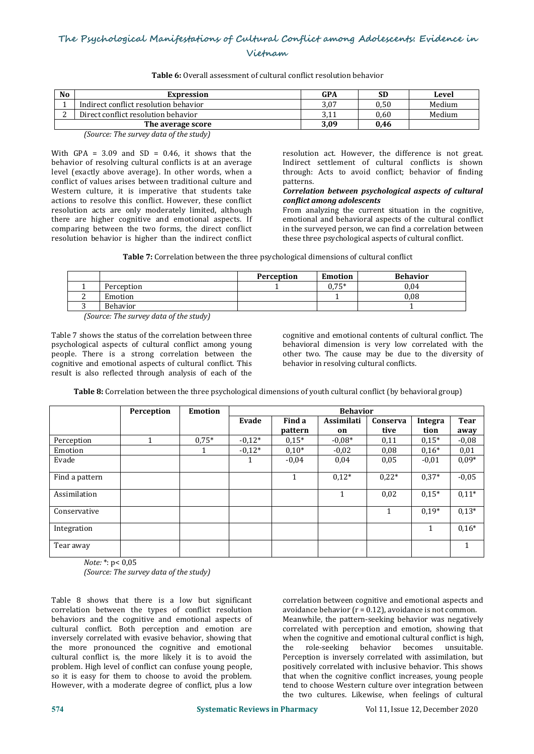# **Vietnam**

| N <sub>0</sub> | Expression                                                  | GPA  | <b>SD</b> | Level  |
|----------------|-------------------------------------------------------------|------|-----------|--------|
|                | Indirect conflict resolution behavior                       | 3,07 | 0,50      | Medium |
| ◠<br>L         | Direct conflict resolution behavior                         | いエエ  | 0,60      | Medium |
|                | The average score                                           | 3,09 | 0.46      |        |
|                | $\sim$<br>$\sim$ $\sim$ $\sim$ $\sim$ $\sim$ $\sim$<br>$-1$ |      |           |        |

**Table 6:** Overall assessment of cultural conflict resolution behavior

*(Source: The survey data of the study)* 

With GPA =  $3.09$  and SD = 0.46, it shows that the behavior of resolving cultural conflicts is at an average level (exactly above average). In other words, when a through:<br>conflict of values arises between traditional culture and batterns. conflict of values arises between traditional culture and Western culture, it is imperative that students take actions to resolve this conflict. However, these conflict resolution acts are only moderately limited, although there are higher cognitive and emotional aspects. If comparing between the two forms, the direct conflict resolution behavior is higher than the indirect conflict

resolution act. However, the difference is not great. Indirect settlement of cultural conflicts is shown through: Acts to avoid conflict; behavior of finding

# patterns. *Correlation between psychological aspects of cultural conflict among adolescents*

From analyzing the current situation in the cognitive, emotional and behavioral aspects of the cultural conflict in the surveyed person, we can find a correlation between these three psychological aspects of cultural conflict.

**Table 7:** Correlation between the three psychological dimensions of cultural conflict

|            |                                                                     | Perception | <b>Emotion</b> | <b>Behavior</b> |
|------------|---------------------------------------------------------------------|------------|----------------|-----------------|
|            | Perception                                                          |            | $0.75*$        | 0.04            |
|            | Emotion                                                             |            |                | 0.08            |
|            | Behavior                                                            |            |                |                 |
| $\sqrt{ }$ | $\sim$<br>$\mathbf{1}$ . $\mathbf{1}$ . $\mathbf{1}$ . $\mathbf{1}$ |            |                |                 |

*(Source: The survey data of the study)* 

Table 7 shows the status of the correlation between three psychological aspects of cultural conflict among young people. There is a strong correlation between the cognitive and emotional aspects of cultural conflict. This result is also reflected through analysis of each of the

cognitive and emotional contents of cultural conflict. The behavioral dimension is very low correlated with the other two. The cause may be due to the diversity of behavior in resolving cultural conflicts.

**Table 8:** Correlation between the three psychological dimensions of youth cultural conflict (by behavioral group)

|                | Perception | <b>Emotion</b> |          |         | <b>Behavior</b> |              |              |             |
|----------------|------------|----------------|----------|---------|-----------------|--------------|--------------|-------------|
|                |            |                | Evade    | Find a  | Assimilati      | Conserva     | Integra      | <b>Tear</b> |
|                |            |                |          | pattern | on              | tive         | tion         | away        |
| Perception     |            | $0,75*$        | $-0,12*$ | $0.15*$ | $-0.08*$        | 0,11         | $0.15*$      | $-0,08$     |
| Emotion        |            |                | $-0,12*$ | $0,10*$ | $-0,02$         | 0,08         | $0,16*$      | 0,01        |
| Evade          |            |                |          | $-0.04$ | 0,04            | 0,05         | $-0.01$      | $0,09*$     |
| Find a pattern |            |                |          |         | $0,12*$         | $0,22*$      | $0,37*$      | $-0,05$     |
| Assimilation   |            |                |          |         |                 | 0.02         | $0,15*$      | $0,11*$     |
| Conservative   |            |                |          |         |                 | $\mathbf{1}$ | $0,19*$      | $0,13*$     |
| Integration    |            |                |          |         |                 |              | $\mathbf{1}$ | $0,16*$     |
| Tear away      |            |                |          |         |                 |              |              | 1           |

*Note:* \*: p< 0,05

*(Source: The survey data of the study)* 

Table 8 shows that there is a low but significant correlation between the types of conflict resolution behaviors and the cognitive and emotional aspects of cultural conflict. Both perception and emotion are inversely correlated with evasive behavior, showing that when the cognitive ather more pronounced the cognitive and emotional the role-seeking the more pronounced the cognitive and emotional cultural conflict is, the more likely it is to avoid the problem. High level of conflict can confuse young people, so it is easy for them to choose to avoid the problem. However, with a moderate degree of conflict, plus a low

correlation between cognitive and emotional aspects and avoidance behavior ( $r = 0.12$ ), avoidance is not common. Meanwhile, the pattern-seeking behavior was negatively correlated with perception and emotion, showing that when the cognitive and emotional cultural conflict is high,<br>the role-seeking behavior becomes unsuitable. the role-seeking behavior becomes unsuitable. Perception is inversely correlated with assimilation, but positively correlated with inclusive behavior. This shows that when the cognitive conflict increases, young people tend to choose Western culture over integration between the two cultures. Likewise, when feelings of cultural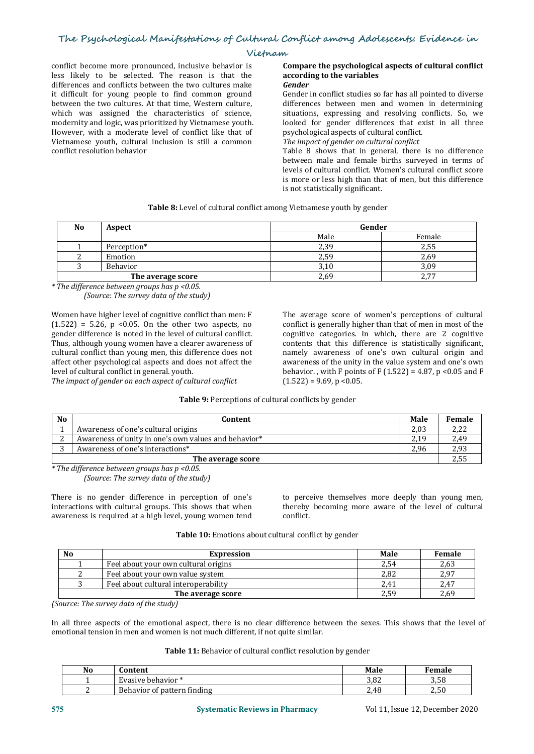conflict become more pronounced, inclusive behavior is less likely to be selected. The reason is that the differences and conflicts between the two cultures make it difficult for young people to find common ground between the two cultures. At that time, Western culture, which was assigned the characteristics of science, modernity and logic, was prioritized by Vietnamese youth. looked for gender differences that express that express that express that express that express that a moderate level of conflict like that of psychological aspects However, with a moderate level of conflict like that of Vietnamese youth, cultural inclusion is still a common conflict resolution behavior

#### **Compare the psychological aspects of cultural conflict according to the variables** *Gender*

Gender in conflict studies so far has all pointed to diverse differences between men and women in determining situations, expressing and resolving conflicts. So, we looked for gender differences that exist in all three

psychological aspects of cultural conflict. *The impact ofgender on cultural conflict*

Table 8 shows that in general, there is no difference between male and female births surveyed in terms of levels of cultural conflict. Women's cultural conflict score is more or less high than that of men, but this difference is not statistically significant.

| <b>Table 8:</b> Level of cultural conflict among Vietnamese youth by gender |  |
|-----------------------------------------------------------------------------|--|
|-----------------------------------------------------------------------------|--|

| No | Aspect            | Gender |        |  |  |  |
|----|-------------------|--------|--------|--|--|--|
|    |                   | Male   | Female |  |  |  |
|    | Perception*       | 2,39   | 2,55   |  |  |  |
|    | Emotion           | 2,59   | 2,69   |  |  |  |
|    | Behavior          | 3,10   | 3,09   |  |  |  |
|    | The average score | 2,69   | 2,77   |  |  |  |

*\* The dif erence between groups has <sup>p</sup> <0.05.(Source: The survey data ofthe study)*

Women have higher level of cognitive conflict than men: F  $(1.522) = 5.26$ ,  $p \le 0.05$ . On the other two aspects, no gender difference is noted in the level of cultural conflict. Thus, although young women have a clearer awareness of affect other psychological aspects and does not affect the level of cultural conflict in general, youth.

level of cultural conflict in general. youth. *The impact ofgender on each aspect ofcultural conflict*

The average score of women's perceptions of cultural conflict is generally higher than that of men in most of the cognitive categories. In which, there are 2 cognitive contents that this difference is statistically significant, namely awareness of one's own cultural origin and awareness of the unity in the value system and one's own behavior., with F points of F  $(1.522) = 4.87$ , p <0.05 and F  $(1.522) = 9.69$ , p < 0.05.

# **Table 9:** Perceptions of cultural conflicts by gender

| N <sub>0</sub> | Content                                              | <b>Male</b> | Female      |
|----------------|------------------------------------------------------|-------------|-------------|
|                | Awareness of one's cultural origins                  | 2,03        | つつつ<br>4,44 |
|                | Awareness of unity in one's own values and behavior* | 2,19        | 2,49        |
|                | Awareness of one's interactions*                     | 2.96        | 2,93        |
|                | The average score                                    |             | 2,55        |

*\* The dif erence between groups has <sup>p</sup> <0.05.(Source: The survey data ofthe study)*

There is no gender difference in perception of one's interactions with cultural groups. This shows that when awareness is required at a high level, young women tend

to perceive themselves more deeply than young men, thereby becoming more aware of the level of cultural conflict.

| <b>Table 10:</b> Emotions about cultural conflict by gender |  |
|-------------------------------------------------------------|--|
|-------------------------------------------------------------|--|

| No<br>Expression |                                      | Male | Female |
|------------------|--------------------------------------|------|--------|
|                  | Feel about your own cultural origins | 2,54 | 2,63   |
|                  | Feel about your own value system     | 2.82 | 2,97   |
|                  | Feel about cultural interoperability | 2.41 | 2,47   |
|                  | The average score                    | 2.59 | 2,69   |

*(Source: The survey data ofthe study)*

In all three aspects of the emotional aspect, there is no clear difference between the sexes. This shows that the level of emotional tension in men and women is not much different, if not quite similar.

# **Table 11:** Behavior of cultural conflict resolution by gender

| No | `ontent                                     | Male | Female                 |
|----|---------------------------------------------|------|------------------------|
|    | Evasive behavior *                          | 3,82 | 3,58                   |
|    | $\mathbf{u}$<br>Behavior of pattern finding | 2.48 | F <sub>0</sub><br>2.JU |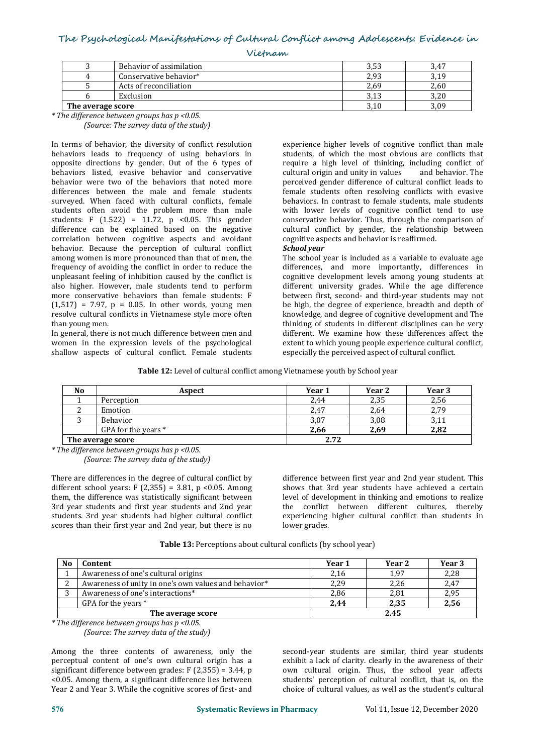| Vietnam |  |
|---------|--|
|---------|--|

|                           | Behavior of assimilation | 3,53 | 3,47 |
|---------------------------|--------------------------|------|------|
|                           | Conservative behavior*   | 2,93 | 3,19 |
|                           | Acts of reconciliation   | 2,69 | 2,60 |
|                           | Exclusion                | 3,13 | 3,20 |
| $\perp$ The average score |                          | 3,10 | 3,09 |

*\* The dif erence between groups has <sup>p</sup> <0.05.(Source: The survey data ofthe study)*

In terms of behavior, the diversity of conflict resolution behaviors leads to frequency of using behaviors in opposite directions by gender. Out of the 6 types of behaviors listed, evasive behavior and conservative behavior were two of the behaviors that noted more differences between the male and female students surveyed. When faced with cultural conflicts, female students often avoid the problem more than male students: F  $(1.522) = 11.72$ , p <0.05. This gender difference can be explained based on the negative correlation between cognitive aspects and avoidant cognitive aspects on the cognitive aspects behavior. Because the perception of cultural conflict Schoolyear behavior. Because the perception of cultural conflict among women is more pronounced than that of men, the frequency of avoiding the conflict in order to reduce the unpleasant feeling of inhibition caused by the conflict is also higher. However, male students tend to perform more conservative behaviors than female students: F  $(1,517) = 7.97$ ,  $p = 0.05$ . In other words, young men resolve cultural conflicts in Vietnamese style more often than young men.

In general, there is not much difference between men and women in the expression levels of the psychological shallow aspects of cultural conflict. Female students

experience higher levels of cognitive conflict than male students, of which the most obvious are conflicts that require a high level of thinking, including conflict of cultural origin and unity in values and behavior. The cultural origin and unity in values perceived gender difference of cultural conflict leads to female students often resolving conflicts with evasive behaviors. In contrast to female students, male students with lower levels of cognitive conflict tend to use conservative behavior. Thus, through the comparison of cultural conflict by gender, the relationship between cognitive aspects and behavior is reaffirmed.

The school year is included as a variable to evaluate age differences, and more importantly, differences in cognitive development levels among young students at different university grades. While the age difference between first, second- and third-year students may not be high, the degree of experience, breadth and depth of knowledge, and degree of cognitive development and The thinking of students in different disciplines can be very different. We examine how these differences affect the extent to which young people experience cultural conflict, especially the perceived aspect of cultural conflict.

**Table 12:** Level of cultural conflict among Vietnamese youth by School year

| N <sub>0</sub> | Aspect                    | Year 1 | Year 2 | Year 3 |
|----------------|---------------------------|--------|--------|--------|
|                | Perception                | 2,44   | 2,35   | 2,56   |
| ∼              | Emotion                   | 2,47   | 2,64   | 2,79   |
|                | <b>Behavior</b>           | 3,07   | 3,08   | 3,11   |
|                | GPA for the years *       | 2,66   | 2,69   | 2,82   |
|                | $\perp$ The average score | 2.72   |        |        |

*\* The dif erence between groups has <sup>p</sup> <0.05.(Source: The survey data ofthe study)*

There are differences in the degree of cultural conflict by different school years:  $F(2,355) = 3.81$ ,  $p \le 0.05$ . Among them, the difference was statistically significant between 3rd year students and first year students and 2nd year students. 3rd year students had higher cultural conflict scores than their first year and 2nd year, but there is no

difference between first year and 2nd year student. This shows that 3rd year students have achieved a certain level of development in thinking and emotions to realize the conflict between different cultures, thereby experiencing higher cultural conflict than students in lower grades.

**Table 13:** Perceptions about cultural conflicts (by school year)

| N <sub>0</sub> | Content                                              | Year 1 | Year 2 | <b>Year 3</b> |
|----------------|------------------------------------------------------|--------|--------|---------------|
|                | Awareness of one's cultural origins                  | 2,16   | 1,97   | 2,28          |
| n              | Awareness of unity in one's own values and behavior* | 2,29   | 2,26   | 2,47          |
| $\sim$         | Awareness of one's interactions*                     | 2,86   | 2,81   | 2,95          |
|                | GPA for the vears $*$                                | 2.44   | 2,35   | 2,56          |
|                | The average score                                    |        | 2.45   |               |

*\* The dif erence between groups has <sup>p</sup> <0.05.(Source: The survey data ofthe study)*

Among the three contents of awareness, only the perceptual content of one's own cultural origin has a significant difference between grades:  $F(2,355) = 3.44$ , p <0.05. Among them, a significant difference lies between Year 2 and Year 3. While the cognitive scores of first- and second-year students are similar, third year students exhibit a lack of clarity. clearly in the awareness of their own cultural origin. Thus, the school year affects students' perception of cultural conflict, that is, on the choice of cultural values, as well as the student's cultural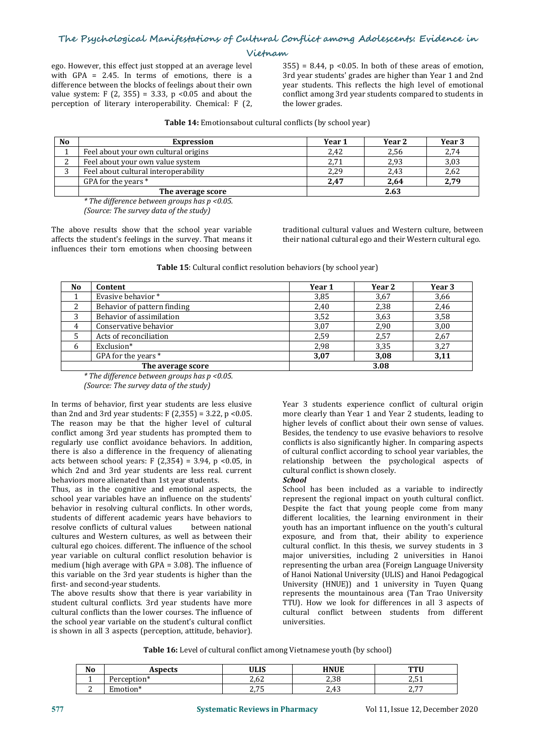ego. However, this effect just stopped at an average level <br>with GPA = 2.45. In terms of emotions, there is a 3rd vear students' grades are higher than Year 1 and 2nd with GPA = 2.45. In terms of emotions, there is a difference between the blocks of feelings about their own value system: F (2, 355) = 3.33, p <0.05 and about the perception of literary interoperability. Chemical: F (2,

ego. However, this effect just stopped at an average level<br>with GPA = 2.45. In terms of emotions, there is a<br>difference between the blocks of feelings about their own<br>value system: F (2, 355) = 3.33, p <0.05 and about the year students. This reflects the high level of emotional conflict among 3rd year students compared to students in the lower grades.

| <b>Table 14:</b> Emotionsabout cultural conflicts (by school year) |  |
|--------------------------------------------------------------------|--|
|--------------------------------------------------------------------|--|

| N <sub>0</sub> | <b>Expression</b>                    | Year 1 | Year 2 | Year 3 |
|----------------|--------------------------------------|--------|--------|--------|
|                | Feel about your own cultural origins | 2,42   | 2,56   | 2,74   |
| n<br>∸         | Feel about your own value system     | 2,71   | 2,93   | 3,03   |
| n              | Feel about cultural interoperability | 2,29   | 2,43   | 2,62   |
|                | GPA for the years *                  | 2,47   | 2,64   | 2,79   |
|                | The average score                    |        | 2.63   |        |

*\* The dif erence between groups has <sup>p</sup> <0.05.(Source: The survey data ofthe study)*

The above results show that the school year variable affects the student's feelings in the survey. That means it influences their torn emotions when choosing between

traditional cultural values and Western culture, between their national cultural ego and their Western cultural ego.

| <b>Table 15</b> : Cultural conflict resolution behaviors (by school year) |  |
|---------------------------------------------------------------------------|--|
|---------------------------------------------------------------------------|--|

| No | Content                     | Year 1 | Year 2 | Year 3 |
|----|-----------------------------|--------|--------|--------|
|    | Evasive behavior *          | 3,85   | 3,67   | 3,66   |
|    | Behavior of pattern finding | 2,40   | 2,38   | 2,46   |
| 3  | Behavior of assimilation    | 3.52   | 3,63   | 3,58   |
| 4  | Conservative behavior       | 3,07   | 2,90   | 3,00   |
|    | Acts of reconciliation      | 2,59   | 2,57   | 2,67   |
| 6  | Exclusion*                  | 2,98   | 3,35   | 3,27   |
|    | GPA for the years *         | 3,07   | 3,08   | 3,11   |
|    | The average score           |        | 3.08   |        |

*\* The dif erence between groups has <sup>p</sup> <0.05.(Source: The survey data ofthe study)*

In terms of behavior, first year students are less elusive than 2nd and 3rd year students:  $F(2,355) = 3.22$ ,  $p < 0.05$ . The reason may be that the higher level of cultural conflict among 3rd year students has prompted them to regularly use conflict avoidance behaviors. In addition, there is also a difference in the frequency of alienating acts between school years: F  $(2,354) = 3.94$ , p <0.05, in which 2nd and 3rd year students are less real. current cultura<br>behaviors more alienated than 1st year students. School behaviors more alienated than 1st year students.

Thus, as in the cognitive and emotional aspects, the school year variables have an influence on the students' behavior in resolving cultural conflicts. In other words, students of different academic years have behaviors to<br>resolve conflicts of cultural values between national resolve conflicts of cultural values cultures and Western cultures, as well as between their cultural ego choices. different. The influence of the school year variable on cultural conflict resolution behavior is medium (high average with GPA = 3.08). The influence of this variable on the 3rd year students is higher than the first- and second-year students.

The above results show that there is year variability in student cultural conflicts. 3rd year students have more cultural conflicts than the lower courses. The influence of the school year variable on the student's cultural conflict is shown in all 3 aspects (perception, attitude, behavior).

Year 3 students experience conflict of cultural origin more clearly than Year 1 and Year 2 students, leading to higher levels of conflict about their own sense of values. Besides, the tendency to use evasive behaviors to resolve conflicts is also significantly higher. In comparing aspects of cultural conflict according to school year variables, the relationship between the psychological aspects of cultural conflict is shown closely.

School has been included as a variable to indirectly represent the regional impact on youth cultural conflict. Despite the fact that young people come from many different localities, the learning environment in their youth has an important influence on the youth's cultural exposure, and from that, their ability to experience cultural conflict. In this thesis, we survey students in 3 major universities, including 2 universities in Hanoi representing the urban area (Foreign Language University of Hanoi National University (ULIS) and Hanoi Pedagogical University (HNUE)) and 1 university in Tuyen Quang represents the mountainous area (Tan Trao University TTU). How we look for differences in all 3 aspects of cultural conflict between students from different universities.

**Table 16:** Level of cultural conflict among Vietnamese youth (by school)

| No | <b>Lenaete</b><br>.<br>ルじしい | <b>ULIS</b>  | <b>HNUE</b>        | <b>COUNTY</b><br>. . |
|----|-----------------------------|--------------|--------------------|----------------------|
|    | ption                       | 200<br>4,64  | 220<br>0 د. ∠      | $\sim$ $-$<br>⊥ ب⊿   |
| -  | Emotion*                    | 2.75<br>ں ہے | າ 42<br>4<br>ر 1.5 | $- -$<br><u>.</u>    |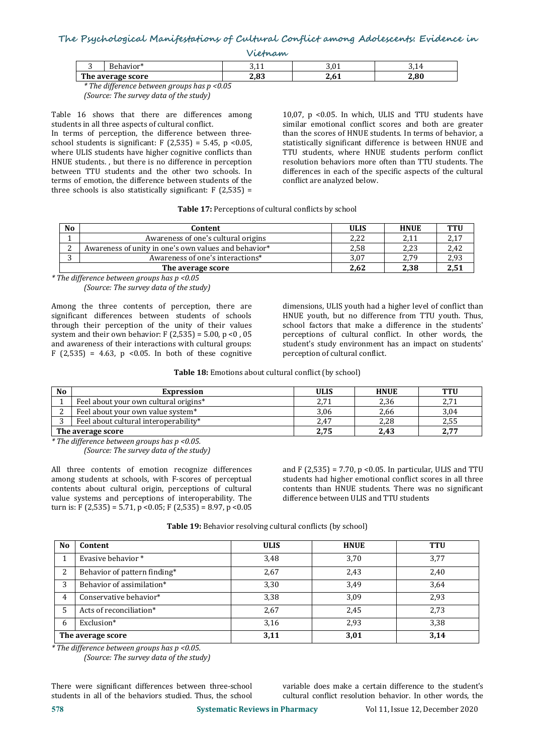| rietnam           |          |              |                      |      |
|-------------------|----------|--------------|----------------------|------|
| ້                 | ≀havior* | ົາ -<br>いエエ  | າ ^ 1<br>J, U L      |      |
| The average score |          | າ ດາ<br>دە,ء | ) <i>c</i> 1<br>4.VI | 2,80 |

*\* The dif erence between groups has p <0.05 (Source: The survey data of the study)* 

Table 16 shows that there are differences among students in all three aspects of cultural conflict.

In terms of perception, the difference between three school students is significant:  $F(2,535) = 5.45$ ,  $p \le 0.05$ , where ULIS students have higher cognitive conflicts than HNUE students. , but there is no difference in perception between TTU students and the other two schools. In terms of emotion, the difference between students of the three schools is also statistically significant:  $F(2,535) =$ 

10,07,  $p$  <0.05. In which, ULIS and TTU students have similar emotional conflict scores and both are greater than the scores of HNUE students. In terms of behavior, a statistically significant difference is between HNUE and TTU students, where HNUE students perform conflict resolution behaviors more often than TTU students. The differences in each of the specific aspects of the cultural conflict are analyzed below.

# **Table 17:** Perceptions of cultural conflicts by school

| <b>No</b>  | Content                                              | <b>ULIS</b> | <b>HNUE</b>   | <b>TTU</b>    |
|------------|------------------------------------------------------|-------------|---------------|---------------|
|            | Awareness of one's cultural origins                  | つつつ<br>4,44 | ว 1 1<br>4,11 | 717<br>، ۱. م |
| $\sqrt{2}$ | Awareness of unity in one's own values and behavior* | 2,58        | 2,23          | 2,42          |
| $\sim$     | Awareness of one's interactions*                     | 3,07        | 2,79          | 2,93          |
|            | The average score                                    | 2,62        | 2,38          | 2,51          |

*\* The dif erence between groups has p <0.05 (Source: The survey data of the study)* 

Among the three contents of perception, there are significant differences between students of schools through their perception of the unity of their values system and their own behavior:  $F(2,535) = 5.00$ ,  $p < 0$ , 05 and awareness of their interactions with cultural groups:  $F(2,535) = 4.63$ ,  $p \le 0.05$ . In both of these cognitive

dimensions, ULIS youth had a higher level of conflict than HNUE youth, but no difference from TTU youth. Thus, school factors that make a difference in the students' perceptions of cultural conflict. In other words, the student's study environment has an impact on students' perception of cultural conflict.

**Table 18:** Emotions about cultural conflict (by school)

| <b>No</b>         | Expression                            | <b>ULIS</b> | <b>HNUE</b> | <b>TTU</b> |
|-------------------|---------------------------------------|-------------|-------------|------------|
|                   | Feel about your own cultural origins* | 2,71        | 2,36        | 2,71       |
|                   | Feel about your own value system*     | 3.06        | 2.66        | 3,04       |
|                   | Feel about cultural interoperability* | 2.47        | 2.28        | 2,55       |
| The average score |                                       | 2,75        | 2,43        | 2,77       |

*\* The dif erence between groups has <sup>p</sup> <0.05.(Source: The survey data ofthe study)*

All three contents of emotion recognize differences among students at schools, with F-scores of perceptual contents about cultural origin, perceptions of cultural value systems and perceptions of interoperability. The turn is: F (2,535) = 5.71, p < 0.05; F (2,535) = 8.97, p < 0.05 and F  $(2,535)$  = 7.70, p < 0.05. In particular, ULIS and TTU students had higher emotional conflict scores in all three contents than HNUE students. There was no significant difference between ULIS and TTU students

| N <sub>0</sub>    | Content                      | <b>ULIS</b> | <b>HNUE</b> | <b>TTU</b> |
|-------------------|------------------------------|-------------|-------------|------------|
|                   | Evasive behavior *           | 3,48        | 3,70        | 3,77       |
| 2                 | Behavior of pattern finding* | 2,67        | 2,43        | 2,40       |
| 3                 | Behavior of assimilation*    | 3,30        | 3,49        | 3,64       |
| 4                 | Conservative behavior*       | 3,38        | 3,09        | 2,93       |
|                   | Acts of reconciliation*      | 2,67        | 2,45        | 2,73       |
| 6                 | Exclusion*                   | 3,16        | 2,93        | 3,38       |
| The average score |                              | 3,11        | 3,01        | 3,14       |

**Table 19:** Behavior resolving cultural conflicts (by school)

*\* The dif erence between groups has <sup>p</sup> <0.05.(Source: The survey data ofthe study)*

There were significant differences between three-school variable does make a certain difference to the student's<br>students in all of the behaviors studied. Thus, the school cultural conflict resolution behavior. In other wo

cultural conflict resolution behavior. In other words, the